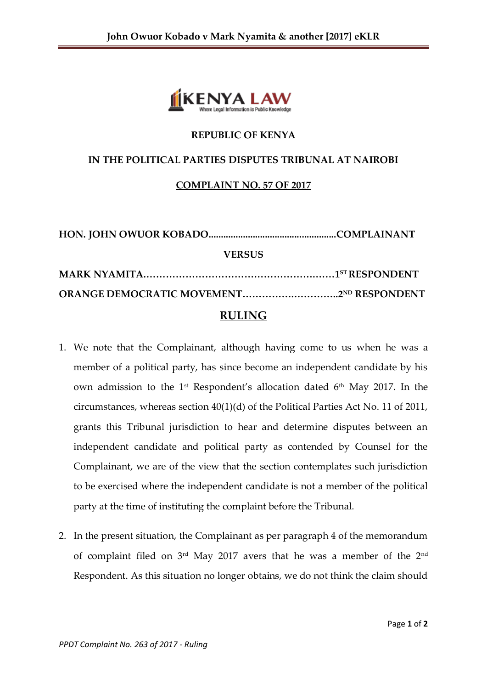

## **REPUBLIC OF KENYA**

## **IN THE POLITICAL PARTIES DISPUTES TRIBUNAL AT NAIROBI**

## **COMPLAINT NO. 57 OF 2017**

| <b>VERSUS</b> |  |  |
|---------------|--|--|
|               |  |  |
|               |  |  |
| <b>RULING</b> |  |  |

- 1. We note that the Complainant, although having come to us when he was a member of a political party, has since become an independent candidate by his own admission to the 1<sup>st</sup> Respondent's allocation dated 6<sup>th</sup> May 2017. In the circumstances, whereas section 40(1)(d) of the Political Parties Act No. 11 of 2011, grants this Tribunal jurisdiction to hear and determine disputes between an independent candidate and political party as contended by Counsel for the Complainant, we are of the view that the section contemplates such jurisdiction to be exercised where the independent candidate is not a member of the political party at the time of instituting the complaint before the Tribunal.
- 2. In the present situation, the Complainant as per paragraph 4 of the memorandum of complaint filed on 3rd May 2017 avers that he was a member of the 2nd Respondent. As this situation no longer obtains, we do not think the claim should